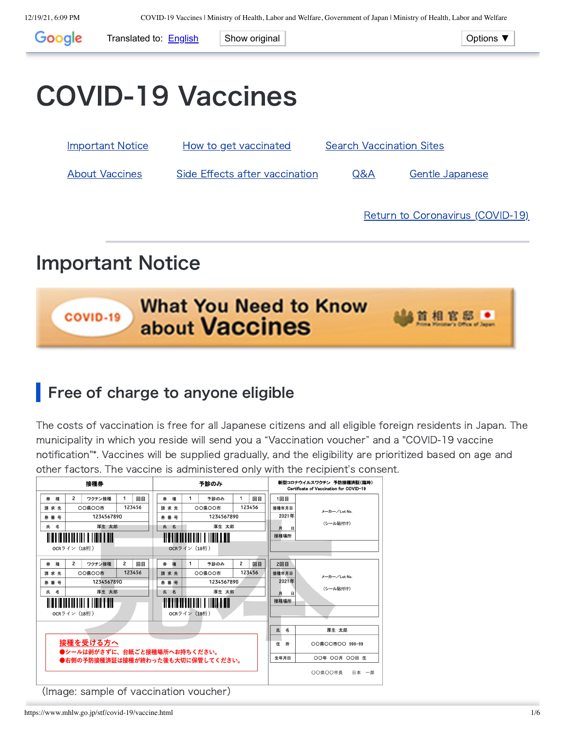<span id="page-0-1"></span>

## <span id="page-0-0"></span>Important Notice



## Free of charge to anyone eligible

The costs of vaccination is free for all Japanese citizens and all eligible foreign residents in Japan. The municipality in which you reside will send you a "Vaccination voucher" and a "COVID-19 vaccine notification"\*. Vaccines will be supplied gradually, and the eligibility are prioritized based on age and other factors. The vaccine is administered only with the recipient's consent.

|                                                                  | 接種券        |                                        | 予診のみ |                                            |  |                        |   |        | 新型コロナウイルスワクチン 予防接種済証(臨時)<br>Certificate of Vaccination for COVID-19 |    |                       |                 |                  |  |
|------------------------------------------------------------------|------------|----------------------------------------|------|--------------------------------------------|--|------------------------|---|--------|---------------------------------------------------------------------|----|-----------------------|-----------------|------------------|--|
| 種<br>券                                                           | 2          | ワクチン接種                                 | 1    | 回目                                         |  | 種<br>桊                 | 1 | 予診のみ   | 1                                                                   | 回目 |                       | 1回目             |                  |  |
| 請求先                                                              |            | 123456<br>00県00市                       |      |                                            |  | 請求先                    |   | 00県00市 | 123456                                                              |    |                       | 接種年月日           | メーカー/Lot No.     |  |
| 券番号                                                              | 1234567890 |                                        |      |                                            |  | 1234567890<br>券番号      |   |        |                                                                     |    |                       | 2021年           |                  |  |
| 名<br>氏                                                           | 厚生 太郎      |                                        |      |                                            |  | 厚生 太郎<br>氏<br>名        |   |        |                                                                     | 月  | 日                     | (シール貼付け)        |                  |  |
|                                                                  |            |                                        |      |                                            |  | STITUTI TIILLEE        |   |        |                                                                     |    |                       | 接種場所            |                  |  |
| OCRライン (18桁)                                                     |            |                                        |      |                                            |  | OCRライン (18桁)           |   |        |                                                                     |    |                       |                 |                  |  |
| 種<br>券                                                           | 2          | ワクチン接種                                 | 2    | 回目                                         |  | 券<br>種                 | 1 | 予診のみ   | 2                                                                   | 回目 |                       | 2回目             |                  |  |
| 請求先                                                              |            | 00県00市                                 |      | 123456<br>123456<br>接種年月日<br>00県00市<br>請求先 |  |                        |   |        |                                                                     |    |                       |                 |                  |  |
| 券 番 号                                                            | 1234567890 |                                        |      |                                            |  | 1234567890<br>券 番 号    |   |        |                                                                     |    | メーカー/Lot No.<br>2021年 |                 |                  |  |
| 名<br>氏                                                           | 厚生 太郎      |                                        |      |                                            |  | 厚生 太郎<br>氏<br>名        |   |        |                                                                     |    | (シール貼付け)<br>日<br>月    |                 |                  |  |
| <b>II O I II O I I I I II I I I I III I T DIT</b>                |            |                                        |      |                                            |  | HTTTIIIII IIIIIIIIIIII |   |        |                                                                     |    | 接種場所                  |                 |                  |  |
| OCRライン (18桁)                                                     |            |                                        |      |                                            |  | OCRライン (18桁)           |   |        |                                                                     |    |                       |                 |                  |  |
|                                                                  |            |                                        |      |                                            |  |                        |   |        |                                                                     |    |                       |                 |                  |  |
|                                                                  |            |                                        |      |                                            |  |                        |   |        |                                                                     |    | 氏                     | 名               | 厚生 太郎            |  |
| 接種を受ける方へ                                                         |            |                                        |      |                                            |  |                        |   |        |                                                                     | 住  | 所                     | OO県OO市OO 999-99 |                  |  |
| ●シールは剥がさずに、台紙ごと接種場所へお持ちください。<br>●右側の予防接種済証は接種が終わった後も大切に保管してください。 |            |                                        |      |                                            |  |                        |   |        |                                                                     |    |                       | 生年月日            | 00年 00月 00日 生    |  |
|                                                                  |            |                                        |      |                                            |  |                        |   |        |                                                                     |    |                       |                 | ○○県○○市長<br>日本 一郎 |  |
|                                                                  |            | (Image: sample of vaccination voucher) |      |                                            |  |                        |   |        |                                                                     |    |                       |                 |                  |  |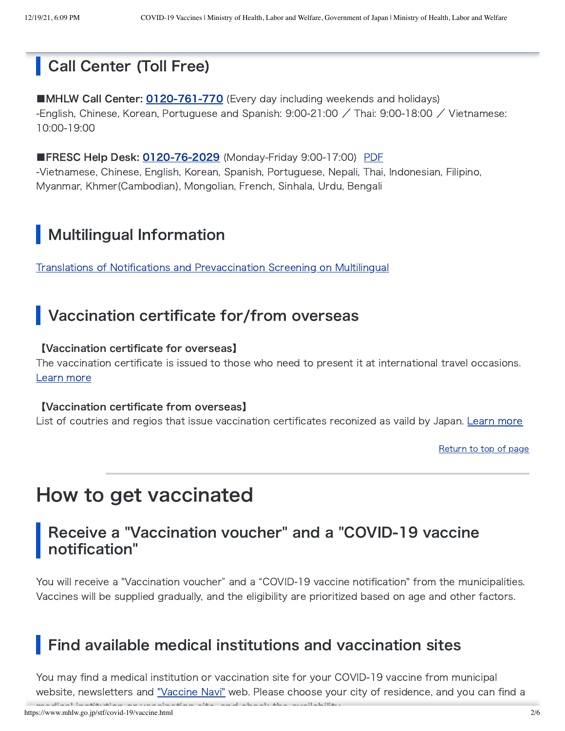## Call Center (Toll Free)

■MHLW Call Center: [0120-761-770](tel:0120761770) (Every day including weekends and holidays) -English, Chinese, Korean, Portuguese and Spanish: 9:00-21:00 / Thai: 9:00-18:00 / Vietnamese: 10:00-19:00

■FRESC Help Desk: [0120-76-2029](tel:0120762029) (Monday-Friday 9:00-17:00) [PDF](https://www.moj.go.jp/isa/content/930006202.pdf) -Vietnamese, Chinese, English, Korean, Spanish, Portuguese, Nepali, Thai, Indonesian, Filipino, Myanmar, Khmer(Cambodian), Mongolian, French, Sinhala, Urdu, Bengali

## Multilingual Information

Translations of Notifications and [Prevaccination](https://www.mhlw.go.jp/stf/seisakunitsuite/bunya/vaccine_tagengo.html) Screening on Multilingual

## Vaccination certificate for/from overseas

### 【Vaccination certificate for overseas】

The vaccination certificate is issued to those who need to present it at international travel occasions. [Learn](https://www.mhlw.go.jp/stf/covid-19/certificate.html) more

### 【Vaccination certificate from overseas】

List of coutries and regios that issue vaccination certificates reconized as vaild by Japan. [Learn](https://www.anzen.mofa.go.jp/covid19/certificate_to_Japan.html) more

[Return](#page-0-1) to top of page

# <span id="page-1-0"></span>How to get vaccinated

### Receive a "Vaccination voucher" and a "COVID-19 vaccine notification"

You will receive a "Vaccination voucher" and a "COVID-19 vaccine notification" from the municipalities. Vaccines will be supplied gradually, and the eligibility are prioritized based on age and other factors.

## Find available medical institutions and vaccination sites

You may find a medical institution or vaccination site for your COVID-19 vaccine from municipal website, newsletters and ["Vaccine](https://v-sys.mhlw.go.jp/en/search/) Navi" web. Please choose your city of residence, and you can find a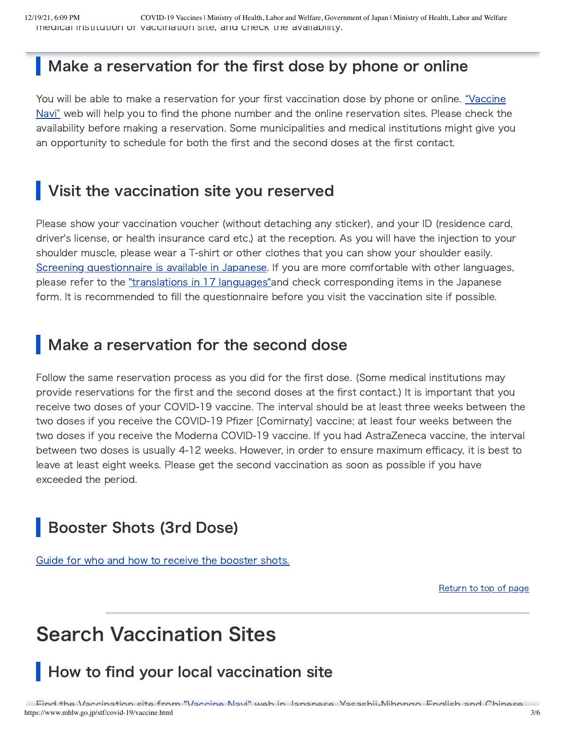### Make a reservation for the first dose by phone or online

You will be able to make a reservation for your first vaccination dose by phone or online. "Vaccine Navi" web will help you to find the phone number and the online [reservation](https://v-sys.mhlw.go.jp/en/search/) sites. Please check the availability before making a reservation. Some municipalities and medical institutions might give you an opportunity to schedule for both the first and the second doses at the first contact.

## Visit the vaccination site you reserved

Please show your vaccination voucher (without detaching any sticker), and your ID (residence card, driver's license, or health insurance card etc.) at the reception. As you will have the injection to your shoulder muscle, please wear a T-shirt or other clothes that you can show your shoulder easily. Screening [questionnaire](https://www.mhlw.go.jp/content/000739379.pdf) is available in Japanese. If you are more comfortable with other languages, please refer to the ["translations](https://www.mhlw.go.jp/stf/seisakunitsuite/bunya/vaccine_tagengo.html) in 17 languages" and check corresponding items in the Japanese form. It is recommended to fill the questionnaire before you visit the vaccination site if possible.

## Make a reservation for the second dose

Follow the same reservation process as you did for the first dose. (Some medical institutions may provide reservations for the first and the second doses at the first contact.) It is important that you receive two doses of your COVID-19 vaccine. The interval should be at least three weeks between the two doses if you receive the COVID-19 Pfizer [Comirnaty] vaccine; at least four weeks between the two doses if you receive the Moderna COVID-19 vaccine. If you had AstraZeneca vaccine, the interval between two doses is usually 4-12 weeks. However, in order to ensure maximum efficacy, it is best to leave at least eight weeks. Please get the second vaccination as soon as possible if you have exceeded the period.

## Booster Shots (3rd Dose)

Guide for who and how [to receive](https://www.mhlw.go.jp/stf/covid-19/booster.html) the booster shots.

[Return](#page-0-1) to top of page

# <span id="page-2-0"></span>Search Vaccination Sites

## How to find your local vaccination site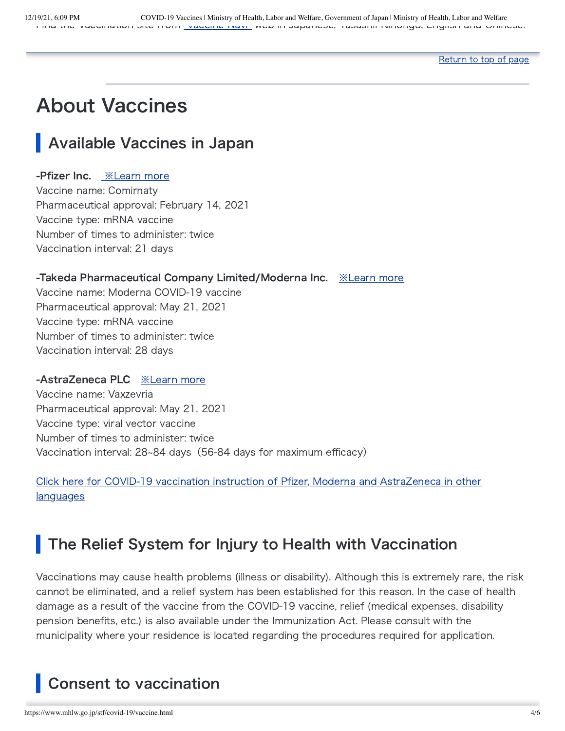#### [Return](#page-0-1) to top of page

# <span id="page-3-0"></span>About Vaccines

## Available Vaccines in Japan

### -Pfizer Inc. **[※Learn](https://www.mhlw.go.jp/content/000759294.pdf) more**

Vaccine name: Comirnaty Pharmaceutical approval: February 14, 2021 Vaccine type: mRNA vaccine Number of times to administer: twice Vaccination interval: 21 days

### -Takeda Pharmaceutical Company Limited/Moderna Inc. [※Learn](https://www.mhlw.go.jp/content/000791158.pdf) more

Vaccine name: Moderna COVID-19 vaccine Pharmaceutical approval: May 21, 2021 Vaccine type: mRNA vaccine Number of times to administer: twice Vaccination interval: 28 days

#### -AstraZeneca PLC [※Learn](https://www.mhlw.go.jp/content/000839874.pdf) more

Vaccine name: Vaxzevria Pharmaceutical approval: May 21, 2021 Vaccine type: viral vector vaccine Number of times to administer: twice Vaccination interval: 28~84 days (56-84 days for maximum efficacy)

Click here for COVID-19 vaccination instruction of Pfizer, Moderna and [AstraZeneca](https://www.mhlw.go.jp/stf/seisakunitsuite/bunya/vaccine_tagengo.html#h2_free2) in other **languages** 

## The Relief System for Injury to Health with Vaccination

Vaccinations may cause health problems (illness or disability). Although this is extremely rare, the risk cannot be eliminated, and a relief system has been established for this reason. In the case of health damage as a result of the vaccine from the COVID-19 vaccine, relief (medical expenses, disability pension benefits, etc.) is also available under the Immunization Act. Please consult with the municipality where your residence is located regarding the procedures required for application.

## Consent to vaccination